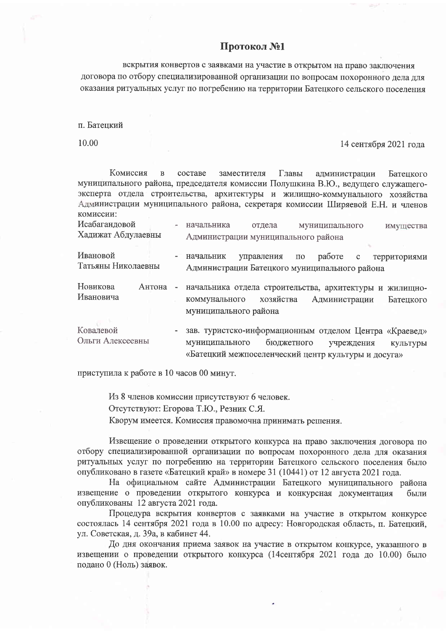## Протокол №1

вскрытия конвертов с заявками на участие в открытом на право заключения договора по отбору специализированной организации по вопросам похоронного дела для оказания ритуальных услуг по погребению на территории Батецкого сельского поселения

п. Батенкий

10.00

14 сентября 2021 года

Комиссия администрации составе заместителя Главы  $\overline{R}$ Батенкого муниципального района, председателя комиссии Полушкина В.Ю., ведущего служащегоэксперта отдела строительства, архитектуры и жилищно-коммунального хозяйства Администрации муниципального района, секретаря комиссии Ширяевой Е.Н. и членов комиссии:

| Исабагандовой<br>Хадижат Абдулаевны |        |   | начальника                                                                                                                                   | отдела     |                 | муниципального |              | имущества    |
|-------------------------------------|--------|---|----------------------------------------------------------------------------------------------------------------------------------------------|------------|-----------------|----------------|--------------|--------------|
|                                     |        |   | Администрации муниципального района                                                                                                          |            |                 |                |              |              |
|                                     |        |   |                                                                                                                                              |            |                 |                |              |              |
| Ивановой                            |        |   | начальник                                                                                                                                    | управления | $\overline{10}$ | работе         | $\mathbf{c}$ | территориями |
| Татьяны Николаевны                  |        |   | Администрации Батецкого муниципального района                                                                                                |            |                 |                |              |              |
| Новикова<br>Ивановича               | Антона | ÷ | начальника отдела строительства, архитектуры и жилищно-<br>хозяйства<br>коммунального<br>Администрации<br>Батецкого<br>муниципального района |            |                 |                |              |              |
|                                     |        |   |                                                                                                                                              |            |                 |                |              |              |
|                                     |        |   |                                                                                                                                              |            |                 |                |              |              |
|                                     |        |   |                                                                                                                                              |            |                 |                |              |              |
| Ковалевой                           |        |   | зав. туристско-информационным отделом Центра «Краевед»                                                                                       |            |                 |                |              |              |
| Ольги Алексеевны                    |        |   | муниципального                                                                                                                               |            | бюджетного      |                | учреждения   | культуры     |

«Батецкий межпоселенческий центр культуры и досуга»

приступила к работе в 10 часов 00 минут.

Из 8 членов комиссии присутствуют 6 человек. Отсутствуют: Егорова Т.Ю., Резник С.Я. Кворум имеется. Комиссия правомочна принимать решения.

Извещение о проведении открытого конкурса на право заключения договора по отбору специализированной организации по вопросам похоронного дела для оказания ритуальных услуг по погребению на территории Батецкого сельского поселения было опубликовано в газете «Батецкий край» в номере 31 (10441) от 12 августа 2021 года.

На официальном сайте Администрации Батецкого муниципального района извещение о проведении открытого конкурса и конкурсная документация были опубликованы 12 августа 2021 года.

Процедура вскрытия конвертов с заявками на участие в открытом конкурсе состоялась 14 сентября 2021 года в 10.00 по адресу: Новгородская область, п. Батецкий, ул. Советская, д. 39а, в кабинет 44.

До дня окончания приема заявок на участие в открытом конкурсе, указанного в извещении о проведении открытого конкурса (14сентября 2021 года до 10.00) было подано 0 (Ноль) заявок.